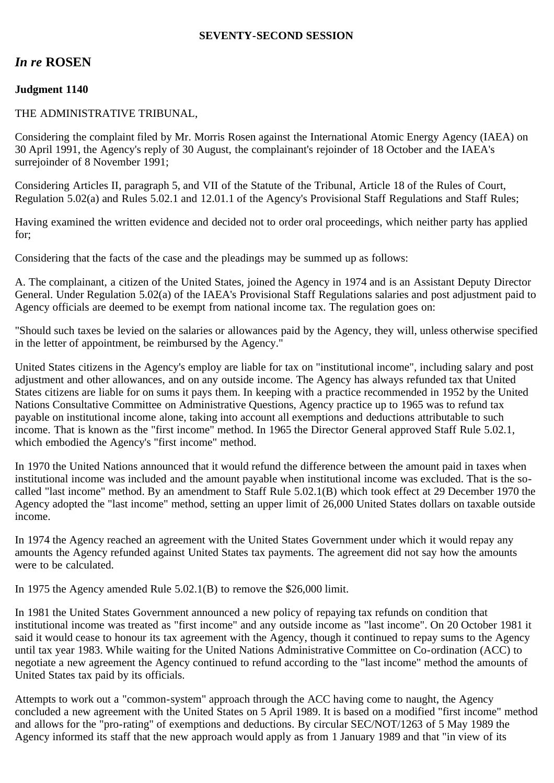## **SEVENTY-SECOND SESSION**

# *In re* **ROSEN**

## **Judgment 1140**

#### THE ADMINISTRATIVE TRIBUNAL,

Considering the complaint filed by Mr. Morris Rosen against the International Atomic Energy Agency (IAEA) on 30 April 1991, the Agency's reply of 30 August, the complainant's rejoinder of 18 October and the IAEA's surrejoinder of 8 November 1991;

Considering Articles II, paragraph 5, and VII of the Statute of the Tribunal, Article 18 of the Rules of Court, Regulation 5.02(a) and Rules 5.02.1 and 12.01.1 of the Agency's Provisional Staff Regulations and Staff Rules;

Having examined the written evidence and decided not to order oral proceedings, which neither party has applied for;

Considering that the facts of the case and the pleadings may be summed up as follows:

A. The complainant, a citizen of the United States, joined the Agency in 1974 and is an Assistant Deputy Director General. Under Regulation 5.02(a) of the IAEA's Provisional Staff Regulations salaries and post adjustment paid to Agency officials are deemed to be exempt from national income tax. The regulation goes on:

"Should such taxes be levied on the salaries or allowances paid by the Agency, they will, unless otherwise specified in the letter of appointment, be reimbursed by the Agency."

United States citizens in the Agency's employ are liable for tax on "institutional income", including salary and post adjustment and other allowances, and on any outside income. The Agency has always refunded tax that United States citizens are liable for on sums it pays them. In keeping with a practice recommended in 1952 by the United Nations Consultative Committee on Administrative Questions, Agency practice up to 1965 was to refund tax payable on institutional income alone, taking into account all exemptions and deductions attributable to such income. That is known as the "first income" method. In 1965 the Director General approved Staff Rule 5.02.1, which embodied the Agency's "first income" method.

In 1970 the United Nations announced that it would refund the difference between the amount paid in taxes when institutional income was included and the amount payable when institutional income was excluded. That is the socalled "last income" method. By an amendment to Staff Rule 5.02.1(B) which took effect at 29 December 1970 the Agency adopted the "last income" method, setting an upper limit of 26,000 United States dollars on taxable outside income.

In 1974 the Agency reached an agreement with the United States Government under which it would repay any amounts the Agency refunded against United States tax payments. The agreement did not say how the amounts were to be calculated.

In 1975 the Agency amended Rule 5.02.1(B) to remove the \$26,000 limit.

In 1981 the United States Government announced a new policy of repaying tax refunds on condition that institutional income was treated as "first income" and any outside income as "last income". On 20 October 1981 it said it would cease to honour its tax agreement with the Agency, though it continued to repay sums to the Agency until tax year 1983. While waiting for the United Nations Administrative Committee on Co-ordination (ACC) to negotiate a new agreement the Agency continued to refund according to the "last income" method the amounts of United States tax paid by its officials.

Attempts to work out a "common-system" approach through the ACC having come to naught, the Agency concluded a new agreement with the United States on 5 April 1989. It is based on a modified "first income" method and allows for the "pro-rating" of exemptions and deductions. By circular SEC/NOT/1263 of 5 May 1989 the Agency informed its staff that the new approach would apply as from 1 January 1989 and that "in view of its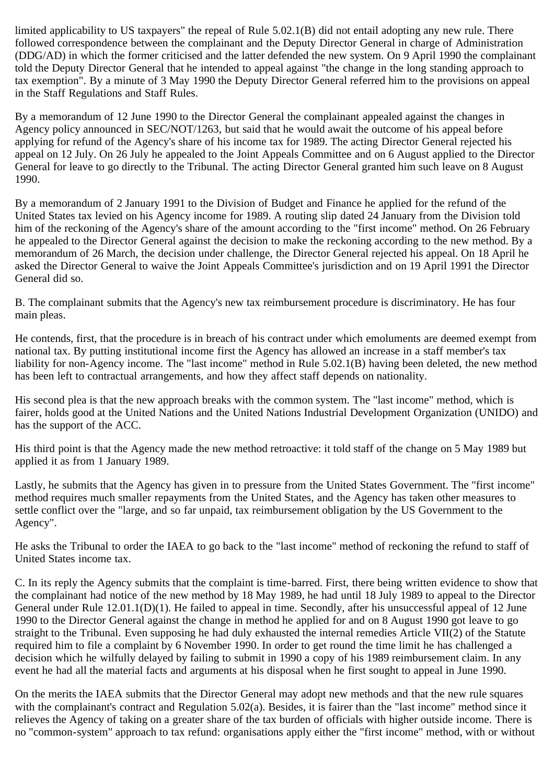limited applicability to US taxpayers" the repeal of Rule 5.02.1(B) did not entail adopting any new rule. There followed correspondence between the complainant and the Deputy Director General in charge of Administration (DDG/AD) in which the former criticised and the latter defended the new system. On 9 April 1990 the complainant told the Deputy Director General that he intended to appeal against "the change in the long standing approach to tax exemption". By a minute of 3 May 1990 the Deputy Director General referred him to the provisions on appeal in the Staff Regulations and Staff Rules.

By a memorandum of 12 June 1990 to the Director General the complainant appealed against the changes in Agency policy announced in SEC/NOT/1263, but said that he would await the outcome of his appeal before applying for refund of the Agency's share of his income tax for 1989. The acting Director General rejected his appeal on 12 July. On 26 July he appealed to the Joint Appeals Committee and on 6 August applied to the Director General for leave to go directly to the Tribunal. The acting Director General granted him such leave on 8 August 1990.

By a memorandum of 2 January 1991 to the Division of Budget and Finance he applied for the refund of the United States tax levied on his Agency income for 1989. A routing slip dated 24 January from the Division told him of the reckoning of the Agency's share of the amount according to the "first income" method. On 26 February he appealed to the Director General against the decision to make the reckoning according to the new method. By a memorandum of 26 March, the decision under challenge, the Director General rejected his appeal. On 18 April he asked the Director General to waive the Joint Appeals Committee's jurisdiction and on 19 April 1991 the Director General did so.

B. The complainant submits that the Agency's new tax reimbursement procedure is discriminatory. He has four main pleas.

He contends, first, that the procedure is in breach of his contract under which emoluments are deemed exempt from national tax. By putting institutional income first the Agency has allowed an increase in a staff member's tax liability for non-Agency income. The "last income" method in Rule 5.02.1(B) having been deleted, the new method has been left to contractual arrangements, and how they affect staff depends on nationality.

His second plea is that the new approach breaks with the common system. The "last income" method, which is fairer, holds good at the United Nations and the United Nations Industrial Development Organization (UNIDO) and has the support of the ACC.

His third point is that the Agency made the new method retroactive: it told staff of the change on 5 May 1989 but applied it as from 1 January 1989.

Lastly, he submits that the Agency has given in to pressure from the United States Government. The "first income" method requires much smaller repayments from the United States, and the Agency has taken other measures to settle conflict over the "large, and so far unpaid, tax reimbursement obligation by the US Government to the Agency".

He asks the Tribunal to order the IAEA to go back to the "last income" method of reckoning the refund to staff of United States income tax.

C. In its reply the Agency submits that the complaint is time-barred. First, there being written evidence to show that the complainant had notice of the new method by 18 May 1989, he had until 18 July 1989 to appeal to the Director General under Rule 12.01.1(D)(1). He failed to appeal in time. Secondly, after his unsuccessful appeal of 12 June 1990 to the Director General against the change in method he applied for and on 8 August 1990 got leave to go straight to the Tribunal. Even supposing he had duly exhausted the internal remedies Article VII(2) of the Statute required him to file a complaint by 6 November 1990. In order to get round the time limit he has challenged a decision which he wilfully delayed by failing to submit in 1990 a copy of his 1989 reimbursement claim. In any event he had all the material facts and arguments at his disposal when he first sought to appeal in June 1990.

On the merits the IAEA submits that the Director General may adopt new methods and that the new rule squares with the complainant's contract and Regulation 5.02(a). Besides, it is fairer than the "last income" method since it relieves the Agency of taking on a greater share of the tax burden of officials with higher outside income. There is no "common-system" approach to tax refund: organisations apply either the "first income" method, with or without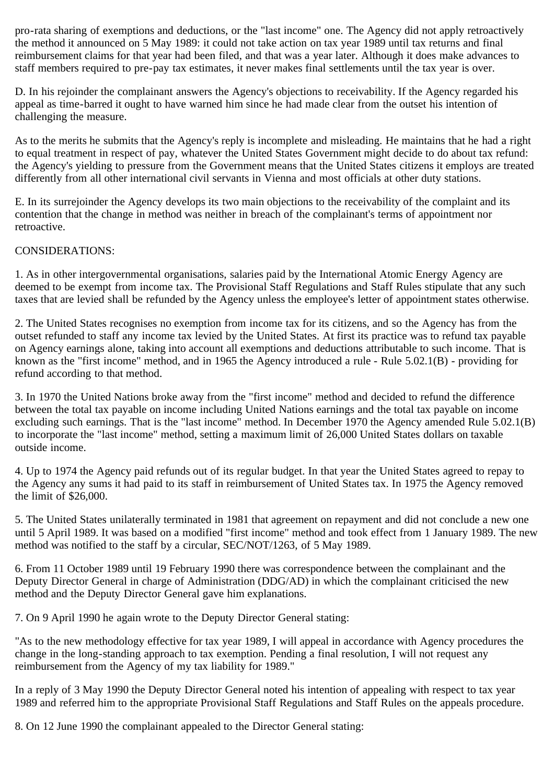pro-rata sharing of exemptions and deductions, or the "last income" one. The Agency did not apply retroactively the method it announced on 5 May 1989: it could not take action on tax year 1989 until tax returns and final reimbursement claims for that year had been filed, and that was a year later. Although it does make advances to staff members required to pre-pay tax estimates, it never makes final settlements until the tax year is over.

D. In his rejoinder the complainant answers the Agency's objections to receivability. If the Agency regarded his appeal as time-barred it ought to have warned him since he had made clear from the outset his intention of challenging the measure.

As to the merits he submits that the Agency's reply is incomplete and misleading. He maintains that he had a right to equal treatment in respect of pay, whatever the United States Government might decide to do about tax refund: the Agency's yielding to pressure from the Government means that the United States citizens it employs are treated differently from all other international civil servants in Vienna and most officials at other duty stations.

E. In its surrejoinder the Agency develops its two main objections to the receivability of the complaint and its contention that the change in method was neither in breach of the complainant's terms of appointment nor retroactive.

# CONSIDERATIONS:

1. As in other intergovernmental organisations, salaries paid by the International Atomic Energy Agency are deemed to be exempt from income tax. The Provisional Staff Regulations and Staff Rules stipulate that any such taxes that are levied shall be refunded by the Agency unless the employee's letter of appointment states otherwise.

2. The United States recognises no exemption from income tax for its citizens, and so the Agency has from the outset refunded to staff any income tax levied by the United States. At first its practice was to refund tax payable on Agency earnings alone, taking into account all exemptions and deductions attributable to such income. That is known as the "first income" method, and in 1965 the Agency introduced a rule - Rule 5.02.1(B) - providing for refund according to that method.

3. In 1970 the United Nations broke away from the "first income" method and decided to refund the difference between the total tax payable on income including United Nations earnings and the total tax payable on income excluding such earnings. That is the "last income" method. In December 1970 the Agency amended Rule 5.02.1(B) to incorporate the "last income" method, setting a maximum limit of 26,000 United States dollars on taxable outside income.

4. Up to 1974 the Agency paid refunds out of its regular budget. In that year the United States agreed to repay to the Agency any sums it had paid to its staff in reimbursement of United States tax. In 1975 the Agency removed the limit of \$26,000.

5. The United States unilaterally terminated in 1981 that agreement on repayment and did not conclude a new one until 5 April 1989. It was based on a modified "first income" method and took effect from 1 January 1989. The new method was notified to the staff by a circular, SEC/NOT/1263, of 5 May 1989.

6. From 11 October 1989 until 19 February 1990 there was correspondence between the complainant and the Deputy Director General in charge of Administration (DDG/AD) in which the complainant criticised the new method and the Deputy Director General gave him explanations.

7. On 9 April 1990 he again wrote to the Deputy Director General stating:

"As to the new methodology effective for tax year 1989, I will appeal in accordance with Agency procedures the change in the long-standing approach to tax exemption. Pending a final resolution, I will not request any reimbursement from the Agency of my tax liability for 1989."

In a reply of 3 May 1990 the Deputy Director General noted his intention of appealing with respect to tax year 1989 and referred him to the appropriate Provisional Staff Regulations and Staff Rules on the appeals procedure.

8. On 12 June 1990 the complainant appealed to the Director General stating: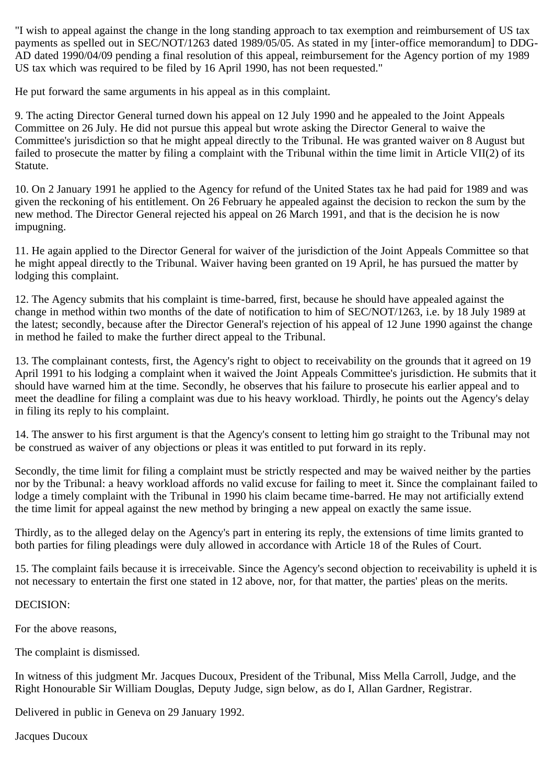"I wish to appeal against the change in the long standing approach to tax exemption and reimbursement of US tax payments as spelled out in SEC/NOT/1263 dated 1989/05/05. As stated in my [inter-office memorandum] to DDG-AD dated 1990/04/09 pending a final resolution of this appeal, reimbursement for the Agency portion of my 1989 US tax which was required to be filed by 16 April 1990, has not been requested."

He put forward the same arguments in his appeal as in this complaint.

9. The acting Director General turned down his appeal on 12 July 1990 and he appealed to the Joint Appeals Committee on 26 July. He did not pursue this appeal but wrote asking the Director General to waive the Committee's jurisdiction so that he might appeal directly to the Tribunal. He was granted waiver on 8 August but failed to prosecute the matter by filing a complaint with the Tribunal within the time limit in Article VII(2) of its Statute.

10. On 2 January 1991 he applied to the Agency for refund of the United States tax he had paid for 1989 and was given the reckoning of his entitlement. On 26 February he appealed against the decision to reckon the sum by the new method. The Director General rejected his appeal on 26 March 1991, and that is the decision he is now impugning.

11. He again applied to the Director General for waiver of the jurisdiction of the Joint Appeals Committee so that he might appeal directly to the Tribunal. Waiver having been granted on 19 April, he has pursued the matter by lodging this complaint.

12. The Agency submits that his complaint is time-barred, first, because he should have appealed against the change in method within two months of the date of notification to him of SEC/NOT/1263, i.e. by 18 July 1989 at the latest; secondly, because after the Director General's rejection of his appeal of 12 June 1990 against the change in method he failed to make the further direct appeal to the Tribunal.

13. The complainant contests, first, the Agency's right to object to receivability on the grounds that it agreed on 19 April 1991 to his lodging a complaint when it waived the Joint Appeals Committee's jurisdiction. He submits that it should have warned him at the time. Secondly, he observes that his failure to prosecute his earlier appeal and to meet the deadline for filing a complaint was due to his heavy workload. Thirdly, he points out the Agency's delay in filing its reply to his complaint.

14. The answer to his first argument is that the Agency's consent to letting him go straight to the Tribunal may not be construed as waiver of any objections or pleas it was entitled to put forward in its reply.

Secondly, the time limit for filing a complaint must be strictly respected and may be waived neither by the parties nor by the Tribunal: a heavy workload affords no valid excuse for failing to meet it. Since the complainant failed to lodge a timely complaint with the Tribunal in 1990 his claim became time-barred. He may not artificially extend the time limit for appeal against the new method by bringing a new appeal on exactly the same issue.

Thirdly, as to the alleged delay on the Agency's part in entering its reply, the extensions of time limits granted to both parties for filing pleadings were duly allowed in accordance with Article 18 of the Rules of Court.

15. The complaint fails because it is irreceivable. Since the Agency's second objection to receivability is upheld it is not necessary to entertain the first one stated in 12 above, nor, for that matter, the parties' pleas on the merits.

#### DECISION:

For the above reasons,

The complaint is dismissed.

In witness of this judgment Mr. Jacques Ducoux, President of the Tribunal, Miss Mella Carroll, Judge, and the Right Honourable Sir William Douglas, Deputy Judge, sign below, as do I, Allan Gardner, Registrar.

Delivered in public in Geneva on 29 January 1992.

Jacques Ducoux